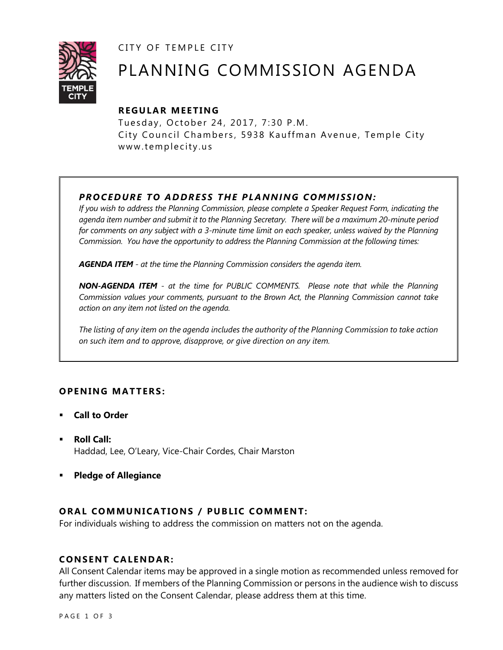CITY OF TEMPLE CITY



# PLANNING COMMISSION AGENDA

# **R EGULA R MEE TING**

Tuesday, October 24, 2017, 7:30 P.M. City Council Chambers, 5938 Kauffman Avenue, Temple City www.templecity.us

# *PRO CE DURE TO ADDRE SS THE P LA NNI NG COMM I SSION:*

*If you wish to address the Planning Commission, please complete a Speaker Request Form, indicating the agenda item number and submit it to the Planning Secretary. There will be a maximum 20-minute period*  for comments on any subject with a 3-minute time limit on each speaker, unless waived by the Planning *Commission. You have the opportunity to address the Planning Commission at the following times:*

*AGENDA ITEM - at the time the Planning Commission considers the agenda item.*

*NON-AGENDA ITEM - at the time for PUBLIC COMMENTS. Please note that while the Planning Commission values your comments, pursuant to the Brown Act, the Planning Commission cannot take action on any item not listed on the agenda.*

*The listing of any item on the agenda includes the authority of the Planning Commission to take action on such item and to approve, disapprove, or give direction on any item.*

# **OPENING MATTERS:**

- **Call to Order**
- **Roll Call:** Haddad, Lee, O'Leary, Vice-Chair Cordes, Chair Marston
- **Pledge of Allegiance**

# **ORAL COMMUNICATIONS / PUBLIC COMMENT:**

For individuals wishing to address the commission on matters not on the agenda.

## **CONSENT CA LENDAR:**

All Consent Calendar items may be approved in a single motion as recommended unless removed for further discussion. If members of the Planning Commission or persons in the audience wish to discuss any matters listed on the Consent Calendar, please address them at this time.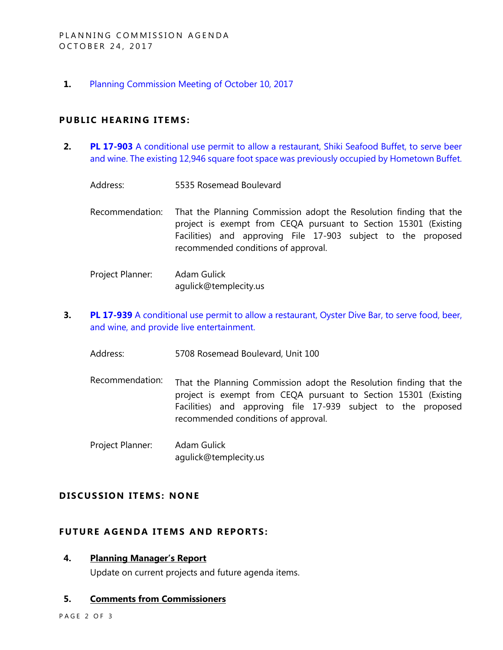**1.** [Planning Commission Meeting of October 10, 2017](https://ca-templecity.civicplus.com/DocumentCenter/View/9264)

## **PUBLIC HEARING ITEMS:**

- **2. PL 17-903** A conditional use permit to allow a restaurant, Shiki Seafood Buffet, to serve beer [and wine. The existing 12,946 square foot space was previously occupied by Hometown Buffet.](https://ca-templecity.civicplus.com/DocumentCenter/View/9265)
	- Address: 5535 Rosemead Boulevard
	- Recommendation: That the Planning Commission adopt the Resolution finding that the project is exempt from CEQA pursuant to Section 15301 (Existing Facilities) and approving File 17-903 subject to the proposed recommended conditions of approval.
	- Project Planner: Adam Gulick agulick@templecity.us
- **3. PL 17-939** [A conditional use permit to allow a restaurant, Oyster Dive Bar,](https://ca-templecity.civicplus.com/DocumentCenter/View/9266) to serve food, beer, [and wine, and provide live entertainment.](https://ca-templecity.civicplus.com/DocumentCenter/View/9266)
	- Address: 5708 Rosemead Boulevard, Unit 100
	- Recommendation: That the Planning Commission adopt the Resolution finding that the project is exempt from CEQA pursuant to Section 15301 (Existing Facilities) and approving file 17-939 subject to the proposed recommended conditions of approval.
	- Project Planner: Adam Gulick agulick@templecity.us

## **D ISCUSSION ITEMS: NONE**

## **FUTURE AGENDA ITEMS AND REPORTS:**

#### **4. Planning Manager's Report**

Update on current projects and future agenda items.

# **5. Comments from Commissioners**